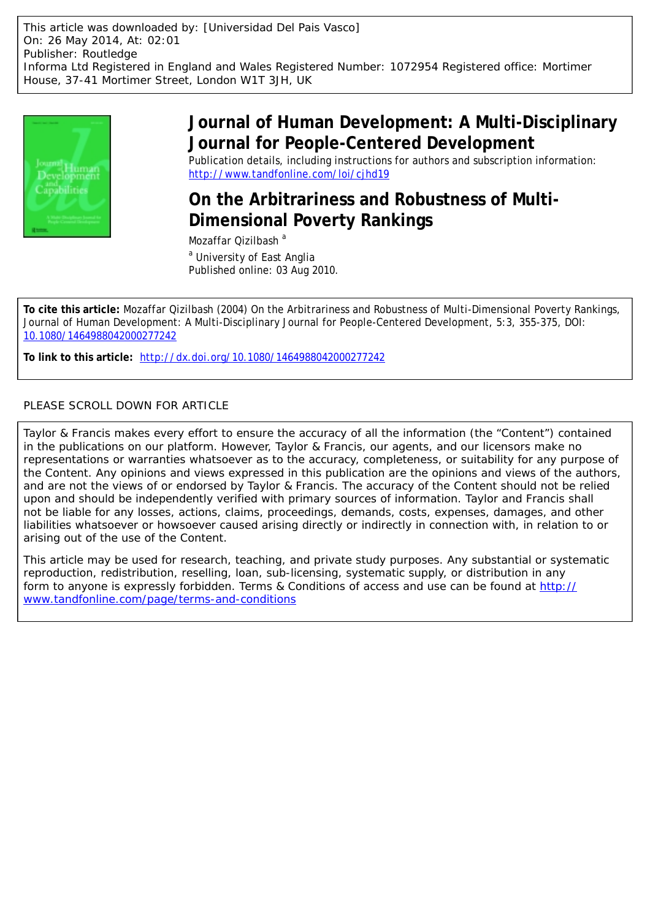

## **Journal of Human Development: A Multi-Disciplinary Journal for People-Centered Development**

Publication details, including instructions for authors and subscription information: <http://www.tandfonline.com/loi/cjhd19>

## **On the Arbitrariness and Robustness of Multi-Dimensional Poverty Rankings**

Mozaffar Qizilbash<sup>a</sup> <sup>a</sup> University of East Anglia Published online: 03 Aug 2010.

**To cite this article:** Mozaffar Qizilbash (2004) On the Arbitrariness and Robustness of Multi-Dimensional Poverty Rankings, Journal of Human Development: A Multi-Disciplinary Journal for People-Centered Development, 5:3, 355-375, DOI: [10.1080/1464988042000277242](http://www.tandfonline.com/action/showCitFormats?doi=10.1080/1464988042000277242)

**To link to this article:** <http://dx.doi.org/10.1080/1464988042000277242>

## PLEASE SCROLL DOWN FOR ARTICLE

Taylor & Francis makes every effort to ensure the accuracy of all the information (the "Content") contained in the publications on our platform. However, Taylor & Francis, our agents, and our licensors make no representations or warranties whatsoever as to the accuracy, completeness, or suitability for any purpose of the Content. Any opinions and views expressed in this publication are the opinions and views of the authors, and are not the views of or endorsed by Taylor & Francis. The accuracy of the Content should not be relied upon and should be independently verified with primary sources of information. Taylor and Francis shall not be liable for any losses, actions, claims, proceedings, demands, costs, expenses, damages, and other liabilities whatsoever or howsoever caused arising directly or indirectly in connection with, in relation to or arising out of the use of the Content.

This article may be used for research, teaching, and private study purposes. Any substantial or systematic reproduction, redistribution, reselling, loan, sub-licensing, systematic supply, or distribution in any form to anyone is expressly forbidden. Terms & Conditions of access and use can be found at [http://](http://www.tandfonline.com/page/terms-and-conditions) [www.tandfonline.com/page/terms-and-conditions](http://www.tandfonline.com/page/terms-and-conditions)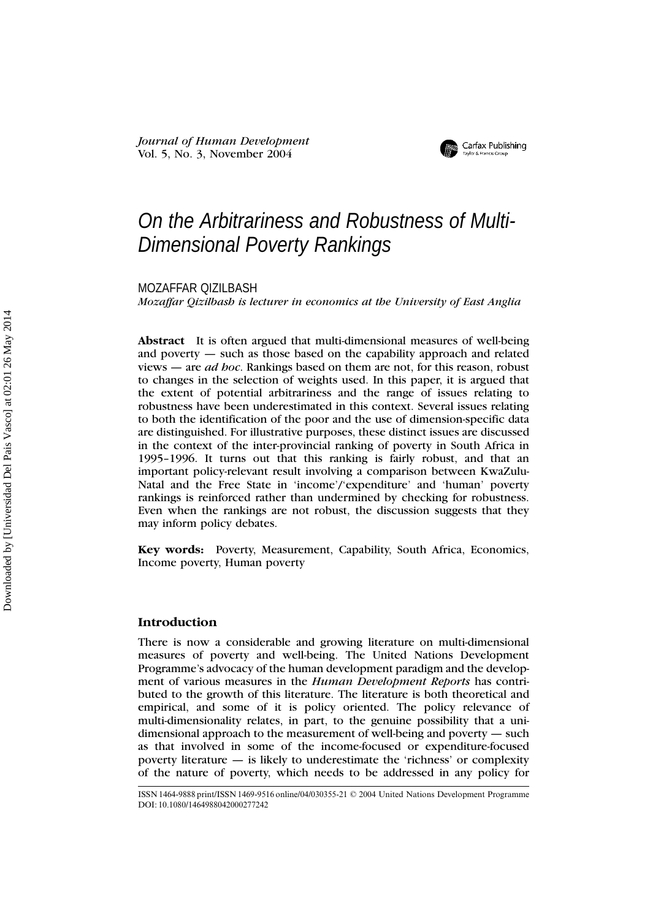*Journal of Human Development* Vol. 5, No. 3, November 2004



# On the Arbitrariness and Robustness of Multi-Dimensional Poverty Rankings

MOZAFFAR QIZILBASH

*Mozaffar Qizilbash is lecturer in economics at the University of East Anglia*

**Abstract** It is often argued that multi-dimensional measures of well-being and poverty — such as those based on the capability approach and related views — are *ad hoc*. Rankings based on them are not, for this reason, robust to changes in the selection of weights used. In this paper, it is argued that the extent of potential arbitrariness and the range of issues relating to robustness have been underestimated in this context. Several issues relating to both the identification of the poor and the use of dimension-specific data are distinguished. For illustrative purposes, these distinct issues are discussed in the context of the inter-provincial ranking of poverty in South Africa in 1995–1996. It turns out that this ranking is fairly robust, and that an important policy-relevant result involving a comparison between KwaZulu-Natal and the Free State in 'income'/'expenditure' and 'human' poverty rankings is reinforced rather than undermined by checking for robustness. Even when the rankings are not robust, the discussion suggests that they may inform policy debates.

**Key words:** Poverty, Measurement, Capability, South Africa, Economics, Income poverty, Human poverty

### **Introduction**

There is now a considerable and growing literature on multi-dimensional measures of poverty and well-being. The United Nations Development Programme's advocacy of the human development paradigm and the development of various measures in the *Human Development Reports* has contributed to the growth of this literature. The literature is both theoretical and empirical, and some of it is policy oriented. The policy relevance of multi-dimensionality relates, in part, to the genuine possibility that a unidimensional approach to the measurement of well-being and poverty — such as that involved in some of the income-focused or expenditure-focused poverty literature  $-$  is likely to underestimate the 'richness' or complexity of the nature of poverty, which needs to be addressed in any policy for

ISSN 1464-9888 print/ISSN 1469-9516 online/04/030355-21 © 2004 United Nations Development Programme DOI: 10.1080/1464988042000277242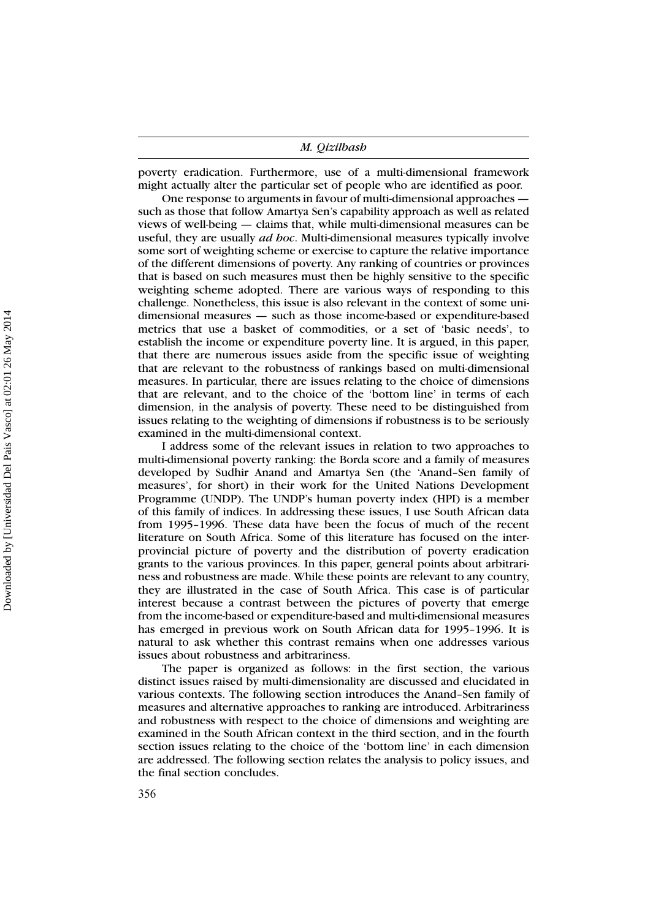poverty eradication. Furthermore, use of a multi-dimensional framework might actually alter the particular set of people who are identified as poor.

One response to arguments in favour of multi-dimensional approaches such as those that follow Amartya Sen's capability approach as well as related views of well-being — claims that, while multi-dimensional measures can be useful, they are usually *ad hoc*. Multi-dimensional measures typically involve some sort of weighting scheme or exercise to capture the relative importance of the different dimensions of poverty. Any ranking of countries or provinces that is based on such measures must then be highly sensitive to the specific weighting scheme adopted. There are various ways of responding to this challenge. Nonetheless, this issue is also relevant in the context of some unidimensional measures — such as those income-based or expenditure-based metrics that use a basket of commodities, or a set of 'basic needs', to establish the income or expenditure poverty line. It is argued, in this paper, that there are numerous issues aside from the specific issue of weighting that are relevant to the robustness of rankings based on multi-dimensional measures. In particular, there are issues relating to the choice of dimensions that are relevant, and to the choice of the 'bottom line' in terms of each dimension, in the analysis of poverty. These need to be distinguished from issues relating to the weighting of dimensions if robustness is to be seriously examined in the multi-dimensional context.

I address some of the relevant issues in relation to two approaches to multi-dimensional poverty ranking: the Borda score and a family of measures developed by Sudhir Anand and Amartya Sen (the 'Anand–Sen family of measures', for short) in their work for the United Nations Development Programme (UNDP). The UNDP's human poverty index (HPI) is a member of this family of indices. In addressing these issues, I use South African data from 1995–1996. These data have been the focus of much of the recent literature on South Africa. Some of this literature has focused on the interprovincial picture of poverty and the distribution of poverty eradication grants to the various provinces. In this paper, general points about arbitrariness and robustness are made. While these points are relevant to any country, they are illustrated in the case of South Africa. This case is of particular interest because a contrast between the pictures of poverty that emerge from the income-based or expenditure-based and multi-dimensional measures has emerged in previous work on South African data for 1995–1996. It is natural to ask whether this contrast remains when one addresses various issues about robustness and arbitrariness.

The paper is organized as follows: in the first section, the various distinct issues raised by multi-dimensionality are discussed and elucidated in various contexts. The following section introduces the Anand–Sen family of measures and alternative approaches to ranking are introduced. Arbitrariness and robustness with respect to the choice of dimensions and weighting are examined in the South African context in the third section, and in the fourth section issues relating to the choice of the 'bottom line' in each dimension are addressed. The following section relates the analysis to policy issues, and the final section concludes.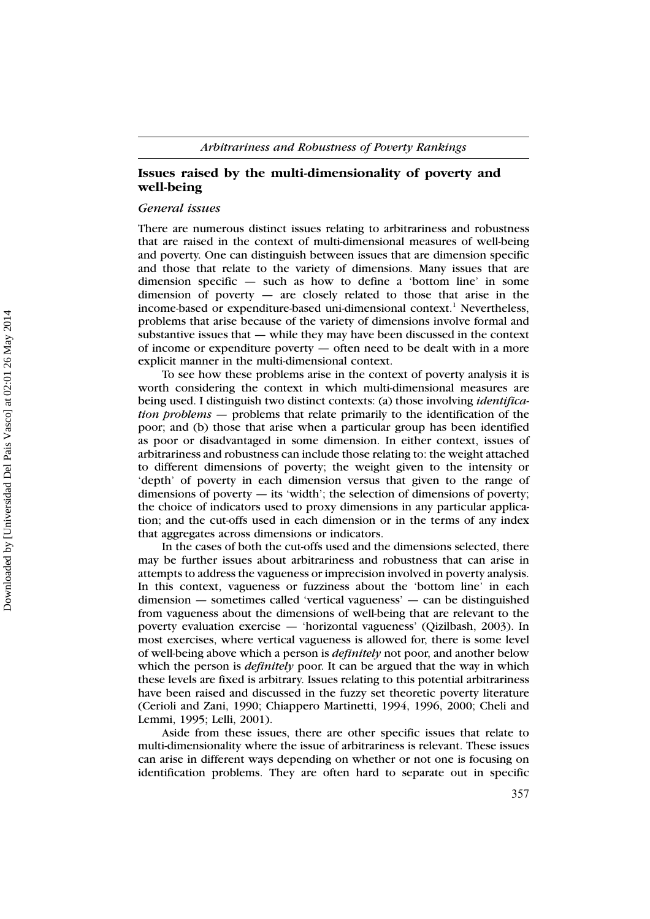## **Issues raised by the multi-dimensionality of poverty and well-being**

## *General issues*

There are numerous distinct issues relating to arbitrariness and robustness that are raised in the context of multi-dimensional measures of well-being and poverty. One can distinguish between issues that are dimension specific and those that relate to the variety of dimensions. Many issues that are dimension specific — such as how to define a 'bottom line' in some dimension of poverty — are closely related to those that arise in the income-based or expenditure-based uni-dimensional context.<sup>1</sup> Nevertheless, problems that arise because of the variety of dimensions involve formal and substantive issues that — while they may have been discussed in the context of income or expenditure poverty — often need to be dealt with in a more explicit manner in the multi-dimensional context.

To see how these problems arise in the context of poverty analysis it is worth considering the context in which multi-dimensional measures are being used. I distinguish two distinct contexts: (a) those involving *identification problems —* problems that relate primarily to the identification of the poor; and (b) those that arise when a particular group has been identified as poor or disadvantaged in some dimension. In either context, issues of arbitrariness and robustness can include those relating to: the weight attached to different dimensions of poverty; the weight given to the intensity or 'depth' of poverty in each dimension versus that given to the range of dimensions of poverty — its 'width'; the selection of dimensions of poverty; the choice of indicators used to proxy dimensions in any particular application; and the cut-offs used in each dimension or in the terms of any index that aggregates across dimensions or indicators.

In the cases of both the cut-offs used and the dimensions selected, there may be further issues about arbitrariness and robustness that can arise in attempts to address the vagueness or imprecision involved in poverty analysis. In this context, vagueness or fuzziness about the 'bottom line' in each dimension — sometimes called 'vertical vagueness' — can be distinguished from vagueness about the dimensions of well-being that are relevant to the poverty evaluation exercise — 'horizontal vagueness' (Qizilbash, 2003). In most exercises, where vertical vagueness is allowed for, there is some level of well-being above which a person is *definitely* not poor, and another below which the person is *definitely* poor. It can be argued that the way in which these levels are fixed is arbitrary. Issues relating to this potential arbitrariness have been raised and discussed in the fuzzy set theoretic poverty literature (Cerioli and Zani, 1990; Chiappero Martinetti, 1994, 1996, 2000; Cheli and Lemmi, 1995; Lelli, 2001).

Aside from these issues, there are other specific issues that relate to multi-dimensionality where the issue of arbitrariness is relevant. These issues can arise in different ways depending on whether or not one is focusing on identification problems. They are often hard to separate out in specific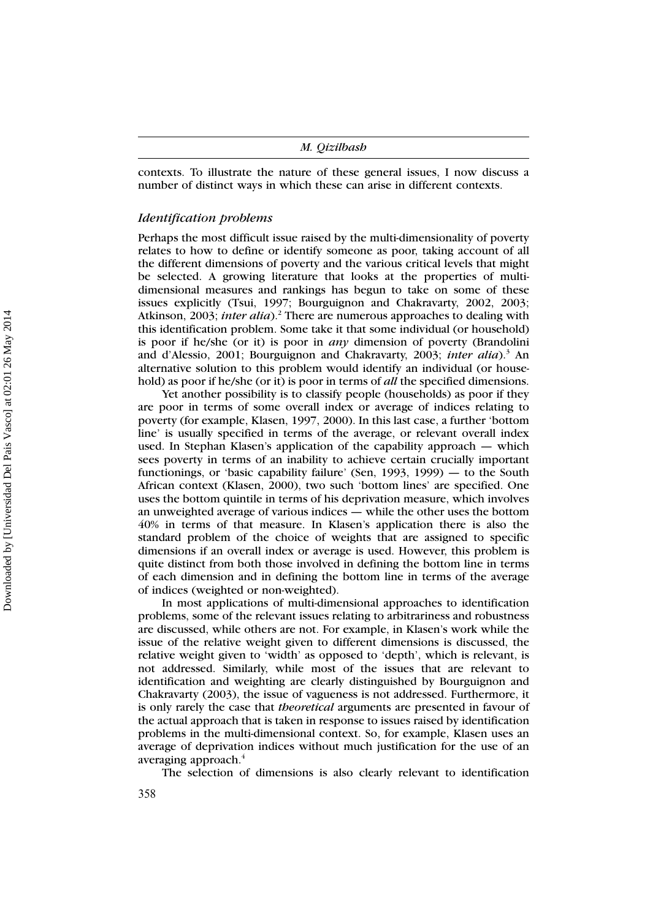|  | M. Qizilbash |
|--|--------------|
|--|--------------|

contexts. To illustrate the nature of these general issues, I now discuss a number of distinct ways in which these can arise in different contexts.

### *Identification problems*

Perhaps the most difficult issue raised by the multi-dimensionality of poverty relates to how to define or identify someone as poor, taking account of all the different dimensions of poverty and the various critical levels that might be selected. A growing literature that looks at the properties of multidimensional measures and rankings has begun to take on some of these issues explicitly (Tsui, 1997; Bourguignon and Chakravarty, 2002, 2003; Atkinson, 2003; *inter alia*).<sup>2</sup> There are numerous approaches to dealing with this identification problem. Some take it that some individual (or household) is poor if he/she (or it) is poor in *any* dimension of poverty (Brandolini and d'Alessio, 2001; Bourguignon and Chakravarty, 2003; *inter alia*).<sup>3</sup> An alternative solution to this problem would identify an individual (or household) as poor if he/she (or it) is poor in terms of *all* the specified dimensions.

Yet another possibility is to classify people (households) as poor if they are poor in terms of some overall index or average of indices relating to poverty (for example, Klasen, 1997, 2000). In this last case, a further 'bottom line' is usually specified in terms of the average, or relevant overall index used. In Stephan Klasen's application of the capability approach — which sees poverty in terms of an inability to achieve certain crucially important functionings, or 'basic capability failure' (Sen, 1993, 1999) — to the South African context (Klasen, 2000), two such 'bottom lines' are specified. One uses the bottom quintile in terms of his deprivation measure, which involves an unweighted average of various indices — while the other uses the bottom 40% in terms of that measure. In Klasen's application there is also the standard problem of the choice of weights that are assigned to specific dimensions if an overall index or average is used. However, this problem is quite distinct from both those involved in defining the bottom line in terms of each dimension and in defining the bottom line in terms of the average of indices (weighted or non-weighted).

In most applications of multi-dimensional approaches to identification problems, some of the relevant issues relating to arbitrariness and robustness are discussed, while others are not. For example, in Klasen's work while the issue of the relative weight given to different dimensions is discussed, the relative weight given to 'width' as opposed to 'depth', which is relevant, is not addressed. Similarly, while most of the issues that are relevant to identification and weighting are clearly distinguished by Bourguignon and Chakravarty (2003), the issue of vagueness is not addressed. Furthermore, it is only rarely the case that *theoretical* arguments are presented in favour of the actual approach that is taken in response to issues raised by identification problems in the multi-dimensional context. So, for example, Klasen uses an average of deprivation indices without much justification for the use of an averaging approach.<sup>4</sup>

The selection of dimensions is also clearly relevant to identification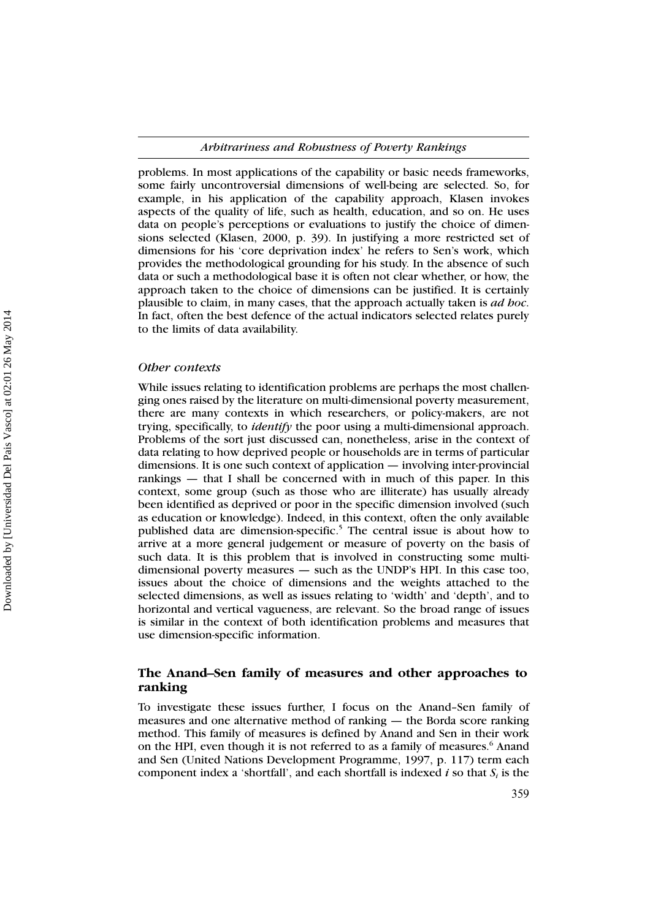problems. In most applications of the capability or basic needs frameworks, some fairly uncontroversial dimensions of well-being are selected. So, for example, in his application of the capability approach, Klasen invokes aspects of the quality of life, such as health, education, and so on. He uses data on people's perceptions or evaluations to justify the choice of dimensions selected (Klasen, 2000, p. 39). In justifying a more restricted set of dimensions for his 'core deprivation index' he refers to Sen's work, which provides the methodological grounding for his study. In the absence of such data or such a methodological base it is often not clear whether, or how, the approach taken to the choice of dimensions can be justified. It is certainly plausible to claim, in many cases, that the approach actually taken is *ad hoc*. In fact, often the best defence of the actual indicators selected relates purely to the limits of data availability.

#### *Other contexts*

While issues relating to identification problems are perhaps the most challenging ones raised by the literature on multi-dimensional poverty measurement, there are many contexts in which researchers, or policy-makers, are not trying, specifically, to *identify* the poor using a multi-dimensional approach. Problems of the sort just discussed can, nonetheless, arise in the context of data relating to how deprived people or households are in terms of particular dimensions. It is one such context of application — involving inter-provincial rankings — that I shall be concerned with in much of this paper. In this context, some group (such as those who are illiterate) has usually already been identified as deprived or poor in the specific dimension involved (such as education or knowledge). Indeed, in this context, often the only available published data are dimension-specific.<sup>5</sup> The central issue is about how to arrive at a more general judgement or measure of poverty on the basis of such data. It is this problem that is involved in constructing some multidimensional poverty measures — such as the UNDP's HPI. In this case too, issues about the choice of dimensions and the weights attached to the selected dimensions, as well as issues relating to 'width' and 'depth', and to horizontal and vertical vagueness, are relevant. So the broad range of issues is similar in the context of both identification problems and measures that use dimension-specific information.

## **The Anand–Sen family of measures and other approaches to ranking**

To investigate these issues further, I focus on the Anand–Sen family of measures and one alternative method of ranking — the Borda score ranking method. This family of measures is defined by Anand and Sen in their work on the HPI, even though it is not referred to as a family of measures.<sup>6</sup> Anand and Sen (United Nations Development Programme, 1997, p. 117) term each component index a 'shortfall', and each shortfall is indexed  $i$  so that  $S_i$  is the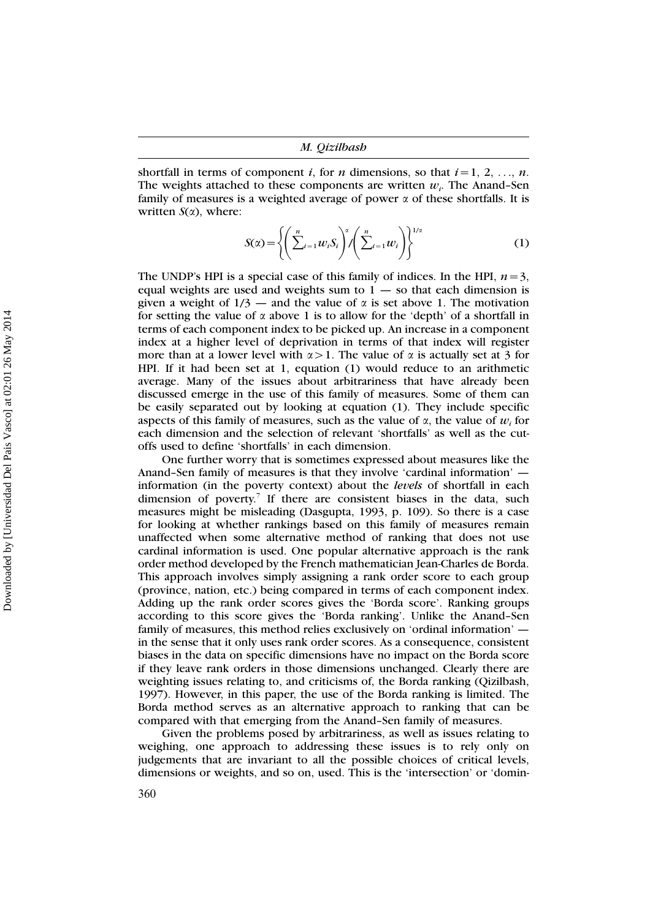shortfall in terms of component *i*, for *n* dimensions, so that  $i=1, 2, ..., n$ . The weights attached to these components are written *wi*. The Anand–Sen family of measures is a weighted average of power  $\alpha$  of these shortfalls. It is written  $S(\alpha)$ , where:

$$
S(\alpha) = \left\{ \left( \sum_{i=1}^{n} w_i S_i \right)^{\alpha} / \left( \sum_{i=1}^{n} w_i \right) \right\}^{1/\alpha}
$$
 (1)

The UNDP's HPI is a special case of this family of indices. In the HPI,  $n=3$ , equal weights are used and weights sum to  $1 -$  so that each dimension is given a weight of  $1/3$  — and the value of  $\alpha$  is set above 1. The motivation for setting the value of  $\alpha$  above 1 is to allow for the 'depth' of a shortfall in terms of each component index to be picked up. An increase in a component index at a higher level of deprivation in terms of that index will register more than at a lower level with  $\alpha > 1$ . The value of  $\alpha$  is actually set at 3 for HPI. If it had been set at 1, equation (1) would reduce to an arithmetic average. Many of the issues about arbitrariness that have already been discussed emerge in the use of this family of measures. Some of them can be easily separated out by looking at equation (1). They include specific aspects of this family of measures, such as the value of  $\alpha$ , the value of  $w_i$  for each dimension and the selection of relevant 'shortfalls' as well as the cutoffs used to define 'shortfalls' in each dimension.

One further worry that is sometimes expressed about measures like the Anand–Sen family of measures is that they involve 'cardinal information' information (in the poverty context) about the *levels* of shortfall in each dimension of poverty.<sup>7</sup> If there are consistent biases in the data, such measures might be misleading (Dasgupta, 1993, p. 109). So there is a case for looking at whether rankings based on this family of measures remain unaffected when some alternative method of ranking that does not use cardinal information is used. One popular alternative approach is the rank order method developed by the French mathematician Jean-Charles de Borda. This approach involves simply assigning a rank order score to each group (province, nation, etc.) being compared in terms of each component index. Adding up the rank order scores gives the 'Borda score'. Ranking groups according to this score gives the 'Borda ranking'. Unlike the Anand–Sen family of measures, this method relies exclusively on 'ordinal information' in the sense that it only uses rank order scores. As a consequence, consistent biases in the data on specific dimensions have no impact on the Borda score if they leave rank orders in those dimensions unchanged. Clearly there are weighting issues relating to, and criticisms of, the Borda ranking (Qizilbash, 1997). However, in this paper, the use of the Borda ranking is limited. The Borda method serves as an alternative approach to ranking that can be compared with that emerging from the Anand–Sen family of measures.

Given the problems posed by arbitrariness, as well as issues relating to weighing, one approach to addressing these issues is to rely only on judgements that are invariant to all the possible choices of critical levels, dimensions or weights, and so on, used. This is the 'intersection' or 'domin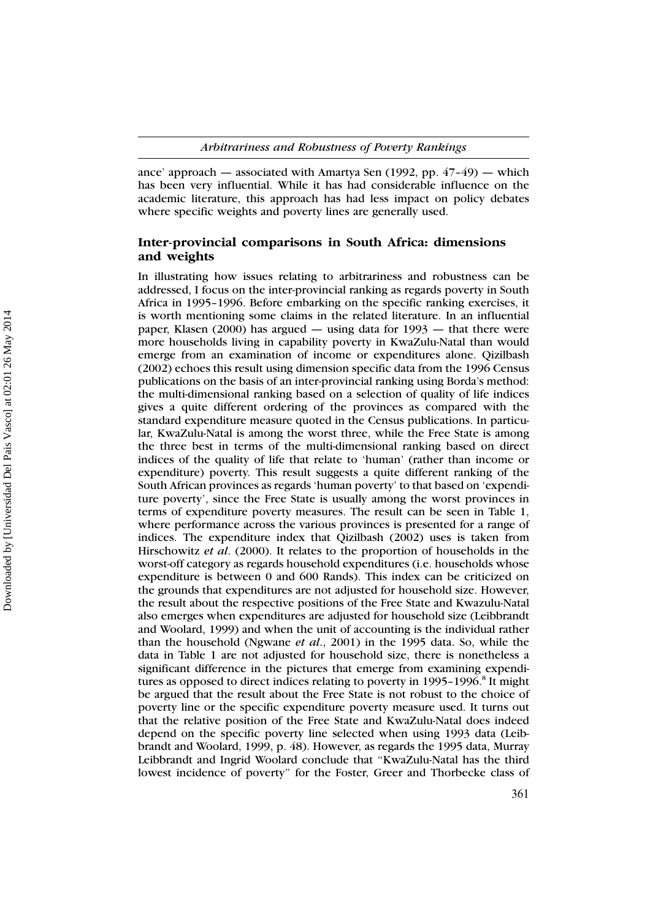ance' approach — associated with Amartya Sen (1992, pp. 47–49) — which has been very influential. While it has had considerable influence on the academic literature, this approach has had less impact on policy debates where specific weights and poverty lines are generally used.

## **Inter-provincial comparisons in South Africa: dimensions and weights**

In illustrating how issues relating to arbitrariness and robustness can be addressed, I focus on the inter-provincial ranking as regards poverty in South Africa in 1995–1996. Before embarking on the specific ranking exercises, it is worth mentioning some claims in the related literature. In an influential paper, Klasen (2000) has argued  $-$  using data for 1993  $-$  that there were more households living in capability poverty in KwaZulu-Natal than would emerge from an examination of income or expenditures alone. Qizilbash (2002) echoes this result using dimension specific data from the 1996 Census publications on the basis of an inter-provincial ranking using Borda's method: the multi-dimensional ranking based on a selection of quality of life indices gives a quite different ordering of the provinces as compared with the standard expenditure measure quoted in the Census publications. In particular, KwaZulu-Natal is among the worst three, while the Free State is among the three best in terms of the multi-dimensional ranking based on direct indices of the quality of life that relate to 'human' (rather than income or expenditure) poverty. This result suggests a quite different ranking of the South African provinces as regards 'human poverty' to that based on 'expenditure poverty', since the Free State is usually among the worst provinces in terms of expenditure poverty measures. The result can be seen in Table 1, where performance across the various provinces is presented for a range of indices. The expenditure index that Qizilbash (2002) uses is taken from Hirschowitz *et al*. (2000). It relates to the proportion of households in the worst-off category as regards household expenditures (i.e. households whose expenditure is between 0 and 600 Rands). This index can be criticized on the grounds that expenditures are not adjusted for household size. However, the result about the respective positions of the Free State and Kwazulu-Natal also emerges when expenditures are adjusted for household size (Leibbrandt and Woolard, 1999) and when the unit of accounting is the individual rather than the household (Ngwane *et al*., 2001) in the 1995 data. So, while the data in Table 1 are not adjusted for household size, there is nonetheless a significant difference in the pictures that emerge from examining expenditures as opposed to direct indices relating to poverty in  $1995-1996$ .<sup>8</sup> It might be argued that the result about the Free State is not robust to the choice of poverty line or the specific expenditure poverty measure used. It turns out that the relative position of the Free State and KwaZulu-Natal does indeed depend on the specific poverty line selected when using 1993 data (Leibbrandt and Woolard, 1999, p. 48). However, as regards the 1995 data, Murray Leibbrandt and Ingrid Woolard conclude that ''KwaZulu-Natal has the third lowest incidence of poverty'' for the Foster, Greer and Thorbecke class of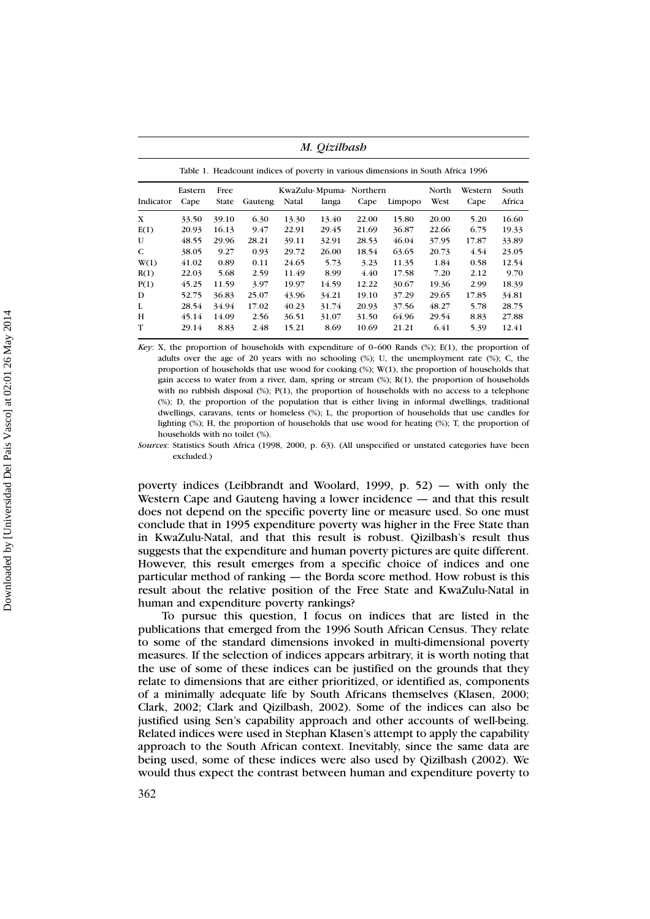|                                                                                  | M. Qizilbash |       |         |                        |       |         |         |       |       |        |  |  |  |  |
|----------------------------------------------------------------------------------|--------------|-------|---------|------------------------|-------|---------|---------|-------|-------|--------|--|--|--|--|
| Table 1. Headcount indices of poverty in various dimensions in South Africa 1996 |              |       |         |                        |       |         |         |       |       |        |  |  |  |  |
|                                                                                  | Eastern      | Free  |         | KwaZulu-Mpuma-Northern | North | Western | South   |       |       |        |  |  |  |  |
| Indicator                                                                        | Cape         | State | Gauteng | Natal                  | langa | Cape    | Limpopo | West  | Cape  | Africa |  |  |  |  |
| X                                                                                | 33.50        | 39.10 | 6.30    | 13.30                  | 13.40 | 22.00   | 15.80   | 20.00 | 5.20  | 16.60  |  |  |  |  |
| E(1)                                                                             | 20.93        | 16.13 | 9.47    | 22.91                  | 29.45 | 21.69   | 36.87   | 22.66 | 6.75  | 19.33  |  |  |  |  |
| U                                                                                | 48.55        | 29.96 | 28.21   | 39.11                  | 32.91 | 28.53   | 46.04   | 37.95 | 17.87 | 33.89  |  |  |  |  |
| C                                                                                | 38.05        | 9.27  | 0.93    | 29.72                  | 26.00 | 18.54   | 63.65   | 20.73 | 4.54  | 23.05  |  |  |  |  |
| W(1)                                                                             | 41.02        | 0.89  | 0.11    | 24.65                  | 5.73  | 3.23    | 11.35   | 1.84  | 0.58  | 12.54  |  |  |  |  |
| R(1)                                                                             | 22.03        | 5.68  | 2.59    | 11.49                  | 8.99  | 4.40    | 17.58   | 7.20  | 2.12  | 9.70   |  |  |  |  |
| P(1)                                                                             | 45.25        | 11.59 | 3.97    | 19.97                  | 14.59 | 12.22   | 30.67   | 19.36 | 2.99  | 18.39  |  |  |  |  |
| D                                                                                | 52.75        | 36.83 | 25.07   | 43.96                  | 34.21 | 19.10   | 37.29   | 29.65 | 17.85 | 34.81  |  |  |  |  |
| L                                                                                | 28.54        | 34.94 | 17.02   | 40.23                  | 31.74 | 20.93   | 37.56   | 48.27 | 5.78  | 28.75  |  |  |  |  |
| н                                                                                | 45.14        | 14.09 | 2.56    | 36.51                  | 31.07 | 31.50   | 64.96   | 29.54 | 8.83  | 27.88  |  |  |  |  |
| T                                                                                | 29.14        | 8.83  | 2.48    | 15.21                  | 8.69  | 10.69   | 21.21   | 6.41  | 5.39  | 12.41  |  |  |  |  |

*Key*: X, the proportion of households with expenditure of 0–600 Rands (%); E(1), the proportion of adults over the age of 20 years with no schooling  $(\%)$ ; U, the unemployment rate  $(\%)$ ; C, the proportion of households that use wood for cooking (%); W(1), the proportion of households that gain access to water from a river, dam, spring or stream  $(\%)$ ; R(1), the proportion of households with no rubbish disposal (%); P(1), the proportion of households with no access to a telephone (%); D, the proportion of the population that is either living in informal dwellings, traditional dwellings, caravans, tents or homeless (%); L, the proportion of households that use candles for lighting (%); H, the proportion of households that use wood for heating (%); T, the proportion of households with no toilet (%).

*Sources*: Statistics South Africa (1998, 2000, p. 63). (All unspecified or unstated categories have been excluded.)

poverty indices (Leibbrandt and Woolard, 1999, p. 52) — with only the Western Cape and Gauteng having a lower incidence — and that this result does not depend on the specific poverty line or measure used. So one must conclude that in 1995 expenditure poverty was higher in the Free State than in KwaZulu-Natal, and that this result is robust. Qizilbash's result thus suggests that the expenditure and human poverty pictures are quite different. However, this result emerges from a specific choice of indices and one particular method of ranking — the Borda score method. How robust is this result about the relative position of the Free State and KwaZulu-Natal in human and expenditure poverty rankings?

To pursue this question, I focus on indices that are listed in the publications that emerged from the 1996 South African Census. They relate to some of the standard dimensions invoked in multi-dimensional poverty measures. If the selection of indices appears arbitrary, it is worth noting that the use of some of these indices can be justified on the grounds that they relate to dimensions that are either prioritized, or identified as, components of a minimally adequate life by South Africans themselves (Klasen, 2000; Clark, 2002; Clark and Qizilbash, 2002). Some of the indices can also be justified using Sen's capability approach and other accounts of well-being. Related indices were used in Stephan Klasen's attempt to apply the capability approach to the South African context. Inevitably, since the same data are being used, some of these indices were also used by Qizilbash (2002). We would thus expect the contrast between human and expenditure poverty to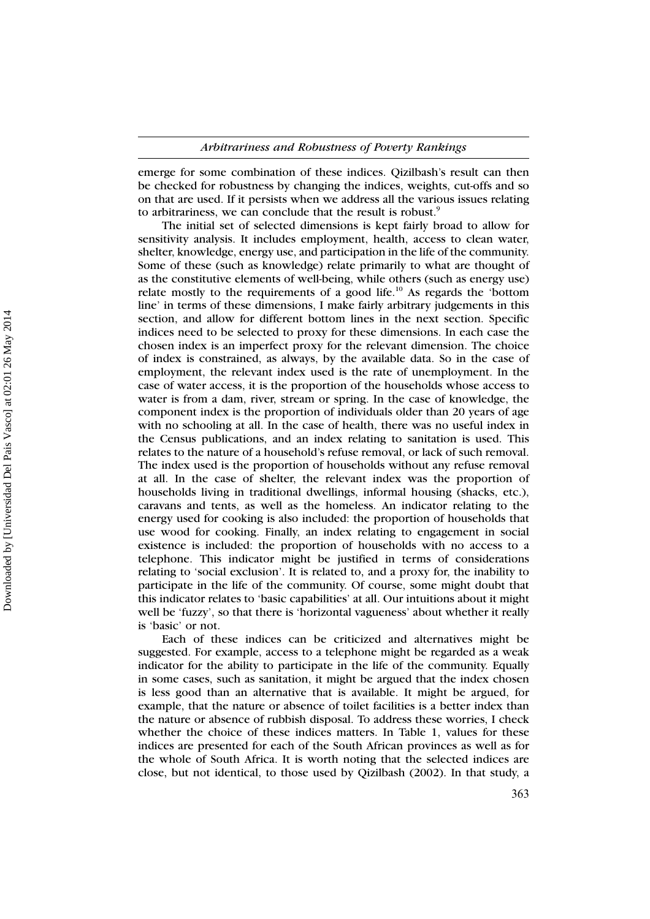emerge for some combination of these indices. Qizilbash's result can then be checked for robustness by changing the indices, weights, cut-offs and so on that are used. If it persists when we address all the various issues relating to arbitrariness, we can conclude that the result is robust.<sup>9</sup>

The initial set of selected dimensions is kept fairly broad to allow for sensitivity analysis. It includes employment, health, access to clean water, shelter, knowledge, energy use, and participation in the life of the community. Some of these (such as knowledge) relate primarily to what are thought of as the constitutive elements of well-being, while others (such as energy use) relate mostly to the requirements of a good life.<sup>10</sup> As regards the 'bottom line' in terms of these dimensions, I make fairly arbitrary judgements in this section, and allow for different bottom lines in the next section. Specific indices need to be selected to proxy for these dimensions. In each case the chosen index is an imperfect proxy for the relevant dimension. The choice of index is constrained, as always, by the available data. So in the case of employment, the relevant index used is the rate of unemployment. In the case of water access, it is the proportion of the households whose access to water is from a dam, river, stream or spring. In the case of knowledge, the component index is the proportion of individuals older than 20 years of age with no schooling at all. In the case of health, there was no useful index in the Census publications, and an index relating to sanitation is used. This relates to the nature of a household's refuse removal, or lack of such removal. The index used is the proportion of households without any refuse removal at all. In the case of shelter, the relevant index was the proportion of households living in traditional dwellings, informal housing (shacks, etc.), caravans and tents, as well as the homeless. An indicator relating to the energy used for cooking is also included: the proportion of households that use wood for cooking. Finally, an index relating to engagement in social existence is included: the proportion of households with no access to a telephone. This indicator might be justified in terms of considerations relating to 'social exclusion'. It is related to, and a proxy for, the inability to participate in the life of the community. Of course, some might doubt that this indicator relates to 'basic capabilities' at all. Our intuitions about it might well be 'fuzzy', so that there is 'horizontal vagueness' about whether it really is 'basic' or not.

Each of these indices can be criticized and alternatives might be suggested. For example, access to a telephone might be regarded as a weak indicator for the ability to participate in the life of the community. Equally in some cases, such as sanitation, it might be argued that the index chosen is less good than an alternative that is available. It might be argued, for example, that the nature or absence of toilet facilities is a better index than the nature or absence of rubbish disposal. To address these worries, I check whether the choice of these indices matters. In Table 1, values for these indices are presented for each of the South African provinces as well as for the whole of South Africa. It is worth noting that the selected indices are close, but not identical, to those used by Qizilbash (2002). In that study, a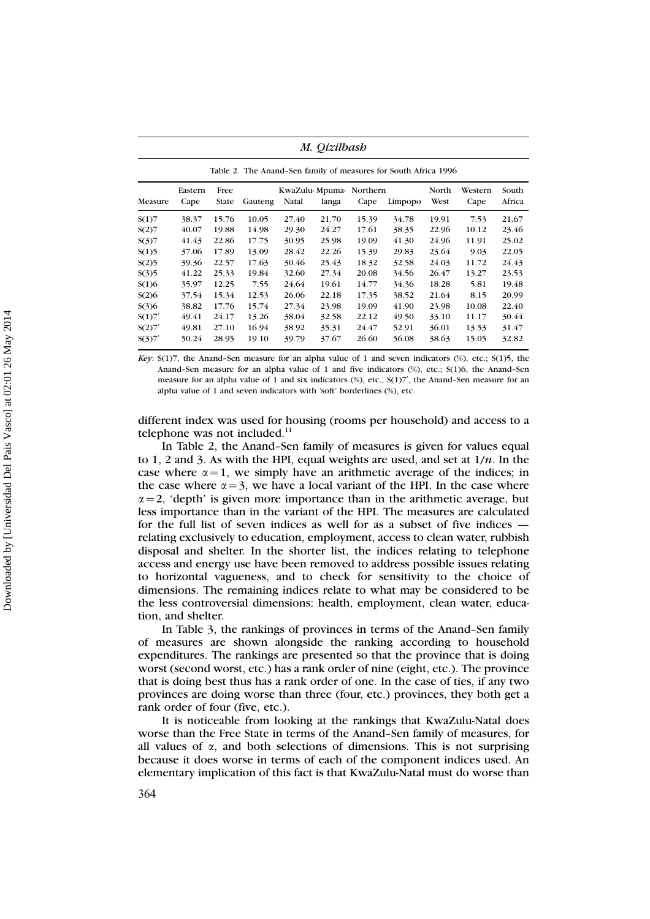| Measure | Eastern<br>Cape | Free<br>State | Gauteng | Natal | KwaZulu-Mpuma-Northern<br>langa | Cape  | Limpopo | North<br>West | Western<br>Cape | South<br>Africa |  |  |
|---------|-----------------|---------------|---------|-------|---------------------------------|-------|---------|---------------|-----------------|-----------------|--|--|
| S(1)7   | 38.37           | 15.76         | 10.05   | 27.40 | 21.70                           | 15.39 | 34.78   | 19.91         | 7.53            | 21.67           |  |  |
| S(2)7   | 40.07           | 19.88         | 14.98   | 29.30 | 24.27                           | 17.61 | 38.35   | 22.96         | 10.12           | 23.46           |  |  |
| S(3)7   | 41.43           | 22.86         | 17.75   | 30.95 | 25.98                           | 19.09 | 41.30   | 24.96         | 11.91           | 25.02           |  |  |
| S(1)5   | 37.06           | 17.89         | 13.09   | 28.42 | 22.26                           | 15.39 | 29.83   | 23.64         | 9.03            | 22.05           |  |  |
| S(2)5   | 39.36           | 22.57         | 17.63   | 30.46 | 25.43                           | 18.32 | 32.58   | 24.03         | 11.72           | 24.43           |  |  |
| S(3)5   | 41.22           | 25.33         | 19.84   | 32.60 | 27.34                           | 20.08 | 34.56   | 26.47         | 13.27           | 23.53           |  |  |
| S(1)6   | 35.97           | 12.25         | 7.55    | 24.64 | 19.61                           | 14.77 | 34.36   | 18.28         | 5.81            | 19.48           |  |  |
| S(2)6   | 37.54           | 15.34         | 12.53   | 26.06 | 22.18                           | 17.35 | 38.52   | 21.64         | 8.15            | 20.99           |  |  |
| S(3)6   | 38.82           | 17.76         | 15.74   | 27.34 | 23.98                           | 19.09 | 41.90   | 23.98         | 10.08           | 22.40           |  |  |
| S(1)7'  | 49.41           | 24.17         | 13.26   | 38.04 | 32.58                           | 22.12 | 49.50   | 33.10         | 11.17           | 30.44           |  |  |
| S(2)7'  | 49.81           | 27.10         | 16.94   | 38.92 | 35.31                           | 24.47 | 52.91   | 36.01         | 13.53           | 31.47           |  |  |
| S(3)7'  | 50.24           | 28.95         | 19.10   | 39.79 | 37.67                           | 26.60 | 56.08   | 38.63         | 15.05           | 32.82           |  |  |

*Key*: S(1)7, the Anand–Sen measure for an alpha value of 1 and seven indicators (%), etc.; S(1)5, the Anand–Sen measure for an alpha value of 1 and five indicators (%), etc.; S(1)6, the Anand–Sen measure for an alpha value of 1 and six indicators  $\frac{8}{3}$ , etc.;  $\frac{5(1)}{7}$ , the Anand–Sen measure for an alpha value of 1 and seven indicators with 'soft' borderlines (%), etc.

different index was used for housing (rooms per household) and access to a telephone was not included.<sup>11</sup>

In Table 2, the Anand–Sen family of measures is given for values equal to 1, 2 and 3. As with the HPI, equal weights are used, and set at 1/*n*. In the case where  $\alpha = 1$ , we simply have an arithmetic average of the indices; in the case where  $\alpha = 3$ , we have a local variant of the HPI. In the case where  $\alpha$  = 2, 'depth' is given more importance than in the arithmetic average, but less importance than in the variant of the HPI. The measures are calculated for the full list of seven indices as well for as a subset of five indices relating exclusively to education, employment, access to clean water, rubbish disposal and shelter. In the shorter list, the indices relating to telephone access and energy use have been removed to address possible issues relating to horizontal vagueness, and to check for sensitivity to the choice of dimensions. The remaining indices relate to what may be considered to be the less controversial dimensions: health, employment, clean water, education, and shelter.

In Table 3, the rankings of provinces in terms of the Anand–Sen family of measures are shown alongside the ranking according to household expenditures. The rankings are presented so that the province that is doing worst (second worst, etc.) has a rank order of nine (eight, etc.). The province that is doing best thus has a rank order of one. In the case of ties, if any two provinces are doing worse than three (four, etc.) provinces, they both get a rank order of four (five, etc.).

It is noticeable from looking at the rankings that KwaZulu-Natal does worse than the Free State in terms of the Anand–Sen family of measures, for all values of  $\alpha$ , and both selections of dimensions. This is not surprising because it does worse in terms of each of the component indices used. An elementary implication of this fact is that KwaZulu-Natal must do worse than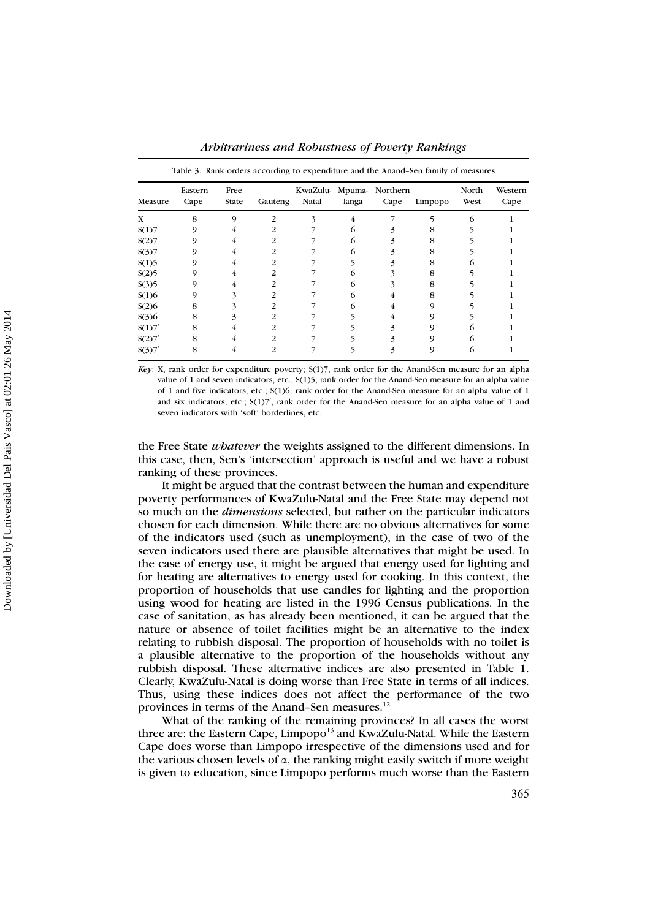| Measure | Eastern<br>Cape | Free<br><b>State</b> | Gauteng | KwaZulu- Mpuma-<br>Natal | langa | Northern<br>Cape | Limpopo | North<br>West | Western<br>Cape |
|---------|-----------------|----------------------|---------|--------------------------|-------|------------------|---------|---------------|-----------------|
| X       | 8               | 9                    | 2       | 3                        | 4     |                  | ۰,      | 6             |                 |
| S(1)7   | 9               | 4                    | 2       |                          | 6     | 3                | 8       |               |                 |
| S(2)7   | 9               | 4                    | 2       |                          | 6     | 3                | 8       |               |                 |
| S(3)7   | 9               | 4                    | 2       |                          | 6     | 3                | 8       |               |                 |
| S(1)5   | 9               | 4                    | 2       |                          |       | 3                | 8       |               |                 |
| S(2)5   | 9               | 4                    | 2       |                          | 6     | 3                | 8       |               |                 |
| S(3)5   | 9               | 4                    | 2       |                          | 6     | 3                | 8       |               |                 |
| S(1)6   | 9               | 3                    | 2       |                          | 6     | 4                | 8       |               |                 |
| S(2)6   | 8               | 3                    | 2       |                          | 6     | 4                | 9       |               |                 |
| S(3)6   | 8               | 3                    | 2       |                          |       | 4                | 9       |               |                 |
| S(1)7'  | 8               | 4                    | 2       |                          |       | 3                | 9       |               |                 |
| S(2)7'  | 8               | 4                    | 2       |                          |       |                  | 9       | 6             |                 |
| S(3)7'  | 8               | 4                    | 2       |                          |       | 3                | 9       | 6             |                 |

*Arbitrariness and Robustness of Poverty Rankings*

*Key*: X, rank order for expenditure poverty; S(1)7, rank order for the Anand-Sen measure for an alpha value of 1 and seven indicators, etc.; S(1)5, rank order for the Anand-Sen measure for an alpha value of 1 and five indicators, etc.; S(1)6, rank order for the Anand-Sen measure for an alpha value of 1 and six indicators, etc.;  $S(1)7'$ , rank order for the Anand-Sen measure for an alpha value of 1 and seven indicators with 'soft' borderlines, etc.

the Free State *whatever* the weights assigned to the different dimensions. In this case, then, Sen's 'intersection' approach is useful and we have a robust ranking of these provinces.

It might be argued that the contrast between the human and expenditure poverty performances of KwaZulu-Natal and the Free State may depend not so much on the *dimensions* selected, but rather on the particular indicators chosen for each dimension. While there are no obvious alternatives for some of the indicators used (such as unemployment), in the case of two of the seven indicators used there are plausible alternatives that might be used. In the case of energy use, it might be argued that energy used for lighting and for heating are alternatives to energy used for cooking. In this context, the proportion of households that use candles for lighting and the proportion using wood for heating are listed in the 1996 Census publications. In the case of sanitation, as has already been mentioned, it can be argued that the nature or absence of toilet facilities might be an alternative to the index relating to rubbish disposal. The proportion of households with no toilet is a plausible alternative to the proportion of the households without any rubbish disposal. These alternative indices are also presented in Table 1. Clearly, KwaZulu-Natal is doing worse than Free State in terms of all indices. Thus, using these indices does not affect the performance of the two provinces in terms of the Anand-Sen measures.<sup>12</sup>

What of the ranking of the remaining provinces? In all cases the worst three are: the Eastern Cape, Limpopo<sup>13</sup> and KwaZulu-Natal. While the Eastern Cape does worse than Limpopo irrespective of the dimensions used and for the various chosen levels of  $\alpha$ , the ranking might easily switch if more weight is given to education, since Limpopo performs much worse than the Eastern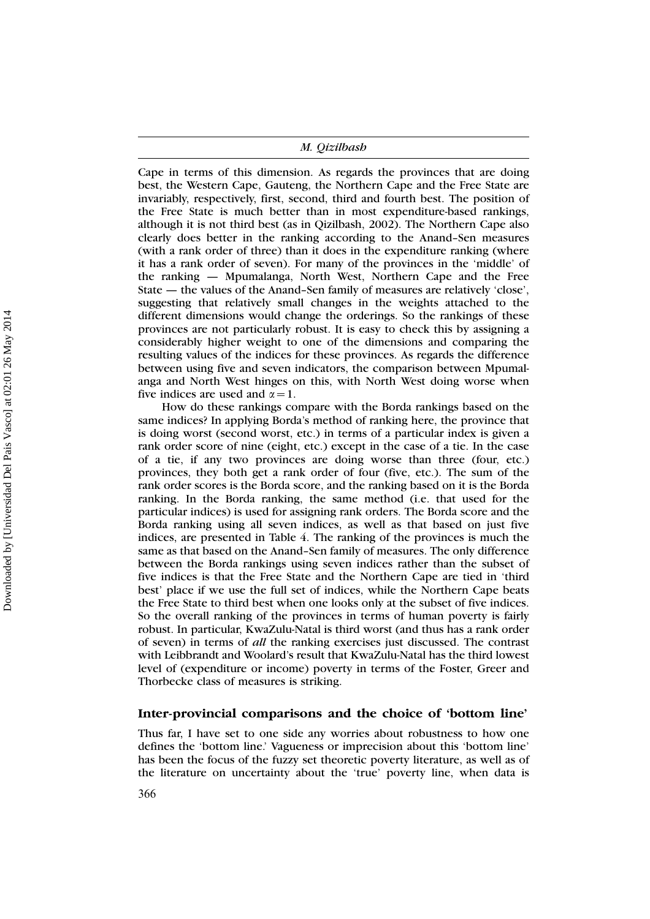Cape in terms of this dimension. As regards the provinces that are doing best, the Western Cape, Gauteng, the Northern Cape and the Free State are invariably, respectively, first, second, third and fourth best. The position of the Free State is much better than in most expenditure-based rankings, although it is not third best (as in Qizilbash, 2002). The Northern Cape also clearly does better in the ranking according to the Anand–Sen measures (with a rank order of three) than it does in the expenditure ranking (where it has a rank order of seven). For many of the provinces in the 'middle' of the ranking — Mpumalanga, North West, Northern Cape and the Free State — the values of the Anand–Sen family of measures are relatively 'close', suggesting that relatively small changes in the weights attached to the different dimensions would change the orderings. So the rankings of these provinces are not particularly robust. It is easy to check this by assigning a considerably higher weight to one of the dimensions and comparing the resulting values of the indices for these provinces. As regards the difference between using five and seven indicators, the comparison between Mpumalanga and North West hinges on this, with North West doing worse when five indices are used and  $\alpha = 1$ .

How do these rankings compare with the Borda rankings based on the same indices? In applying Borda's method of ranking here, the province that is doing worst (second worst, etc.) in terms of a particular index is given a rank order score of nine (eight, etc.) except in the case of a tie. In the case of a tie, if any two provinces are doing worse than three (four, etc.) provinces, they both get a rank order of four (five, etc.). The sum of the rank order scores is the Borda score, and the ranking based on it is the Borda ranking. In the Borda ranking, the same method (i.e. that used for the particular indices) is used for assigning rank orders. The Borda score and the Borda ranking using all seven indices, as well as that based on just five indices, are presented in Table 4. The ranking of the provinces is much the same as that based on the Anand–Sen family of measures. The only difference between the Borda rankings using seven indices rather than the subset of five indices is that the Free State and the Northern Cape are tied in 'third best' place if we use the full set of indices, while the Northern Cape beats the Free State to third best when one looks only at the subset of five indices. So the overall ranking of the provinces in terms of human poverty is fairly robust. In particular, KwaZulu-Natal is third worst (and thus has a rank order of seven) in terms of *all* the ranking exercises just discussed. The contrast with Leibbrandt and Woolard's result that KwaZulu-Natal has the third lowest level of (expenditure or income) poverty in terms of the Foster, Greer and Thorbecke class of measures is striking.

## **Inter-provincial comparisons and the choice of 'bottom line'**

Thus far, I have set to one side any worries about robustness to how one defines the 'bottom line.' Vagueness or imprecision about this 'bottom line' has been the focus of the fuzzy set theoretic poverty literature, as well as of the literature on uncertainty about the 'true' poverty line, when data is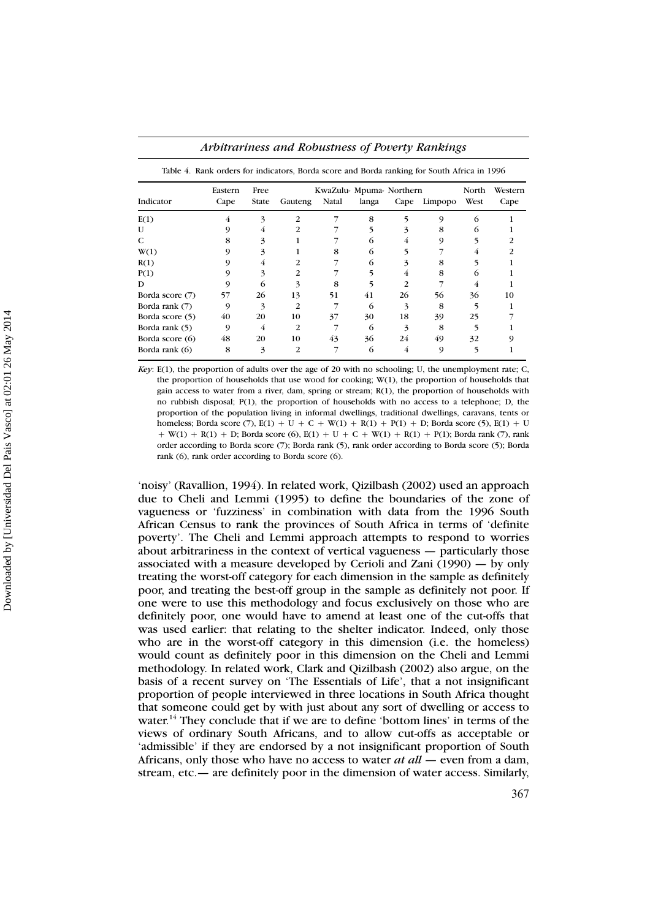|                  | Eastern | Free  |         | KwaZulu- Mpuma- Northern |       |               |         |      |      |
|------------------|---------|-------|---------|--------------------------|-------|---------------|---------|------|------|
| Indicator        | Cape    | State | Gauteng | Natal                    | langa | Cape          | Limpopo | West | Cape |
| E(1)             | 4       | 3     | 2.      |                          | 8     |               | 9       | 6    |      |
| $\mathbf{U}$     |         | 4     | 2       |                          |       | 3             | 8       | 6    |      |
| C                | 8       | 3     |         |                          | 6     | 4             | 9       |      |      |
| W(1)             |         | 3     |         | 8                        | 6     |               |         | 4    |      |
| R(1)             |         | 4     |         |                          | 6     | 3             | 8       |      |      |
| P(1)             |         | 3     | 2       |                          |       | 4             | 8       | 6    |      |
| D                |         | 6     |         | 8                        |       | $\mathcal{P}$ |         | 4    |      |
| Borda score (7)  | 57      | 26    | 13      | 51                       | 41    | 26            | 56      | 36   | 10   |
| Borda rank $(7)$ | 9       | 3     | 2       |                          | 6     | 3             | 8       |      |      |
| Borda score (5)  | 40      | 20    | 10      | 37                       | 30    | 18            | 39      | 25   |      |
| Borda rank (5)   | 9       | 4     | 2       |                          | 6     | 3             | 8       |      |      |
| Borda score (6)  | 48      | 20    | 10      | 43                       | 36    | 24            | 49      | 32   |      |
| Borda rank $(6)$ | 8       | 3     | 2       |                          | 6     | 4             | 9       |      |      |

| Arbitrariness and Robustness of Poverty Rankings |  |  |  |
|--------------------------------------------------|--|--|--|
|--------------------------------------------------|--|--|--|

*Key*: E(1), the proportion of adults over the age of 20 with no schooling; U, the unemployment rate; C, the proportion of households that use wood for cooking; W(1), the proportion of households that gain access to water from a river, dam, spring or stream; R(1), the proportion of households with no rubbish disposal; P(1), the proportion of households with no access to a telephone; D, the proportion of the population living in informal dwellings, traditional dwellings, caravans, tents or homeless; Borda score (7),  $E(1) + U + C + W(1) + R(1) + P(1) + D$ ; Borda score (5),  $E(1) + U$  $+ W(1) + R(1) + D$ ; Borda score (6), E(1)  $+ U + C + W(1) + R(1) + P(1)$ ; Borda rank (7), rank order according to Borda score (7); Borda rank (5), rank order according to Borda score (5); Borda rank (6), rank order according to Borda score (6).

'noisy' (Ravallion, 1994). In related work, Qizilbash (2002) used an approach due to Cheli and Lemmi (1995) to define the boundaries of the zone of vagueness or 'fuzziness' in combination with data from the 1996 South African Census to rank the provinces of South Africa in terms of 'definite poverty'. The Cheli and Lemmi approach attempts to respond to worries about arbitrariness in the context of vertical vagueness — particularly those associated with a measure developed by Cerioli and Zani (1990) — by only treating the worst-off category for each dimension in the sample as definitely poor, and treating the best-off group in the sample as definitely not poor. If one were to use this methodology and focus exclusively on those who are definitely poor, one would have to amend at least one of the cut-offs that was used earlier: that relating to the shelter indicator. Indeed, only those who are in the worst-off category in this dimension (i.e. the homeless) would count as definitely poor in this dimension on the Cheli and Lemmi methodology. In related work, Clark and Qizilbash (2002) also argue, on the basis of a recent survey on 'The Essentials of Life', that a not insignificant proportion of people interviewed in three locations in South Africa thought that someone could get by with just about any sort of dwelling or access to water.<sup>14</sup> They conclude that if we are to define 'bottom lines' in terms of the views of ordinary South Africans, and to allow cut-offs as acceptable or 'admissible' if they are endorsed by a not insignificant proportion of South Africans, only those who have no access to water *at all* — even from a dam, stream, etc.— are definitely poor in the dimension of water access. Similarly,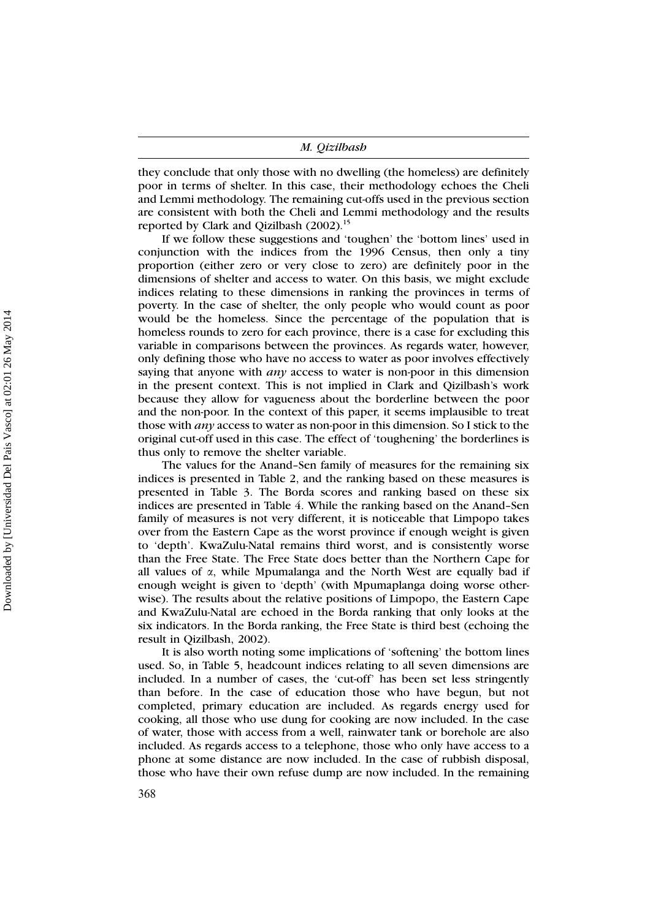they conclude that only those with no dwelling (the homeless) are definitely poor in terms of shelter. In this case, their methodology echoes the Cheli and Lemmi methodology. The remaining cut-offs used in the previous section are consistent with both the Cheli and Lemmi methodology and the results reported by Clark and Qizilbash (2002).<sup>15</sup>

If we follow these suggestions and 'toughen' the 'bottom lines' used in conjunction with the indices from the 1996 Census, then only a tiny proportion (either zero or very close to zero) are definitely poor in the dimensions of shelter and access to water. On this basis, we might exclude indices relating to these dimensions in ranking the provinces in terms of poverty. In the case of shelter, the only people who would count as poor would be the homeless. Since the percentage of the population that is homeless rounds to zero for each province, there is a case for excluding this variable in comparisons between the provinces. As regards water, however, only defining those who have no access to water as poor involves effectively saying that anyone with *any* access to water is non-poor in this dimension in the present context. This is not implied in Clark and Qizilbash's work because they allow for vagueness about the borderline between the poor and the non-poor. In the context of this paper, it seems implausible to treat those with *any* access to water as non-poor in this dimension. So I stick to the original cut-off used in this case. The effect of 'toughening' the borderlines is thus only to remove the shelter variable.

The values for the Anand–Sen family of measures for the remaining six indices is presented in Table 2, and the ranking based on these measures is presented in Table 3. The Borda scores and ranking based on these six indices are presented in Table 4. While the ranking based on the Anand–Sen family of measures is not very different, it is noticeable that Limpopo takes over from the Eastern Cape as the worst province if enough weight is given to 'depth'. KwaZulu-Natal remains third worst, and is consistently worse than the Free State. The Free State does better than the Northern Cape for all values of  $\alpha$ , while Mpumalanga and the North West are equally bad if enough weight is given to 'depth' (with Mpumaplanga doing worse otherwise). The results about the relative positions of Limpopo, the Eastern Cape and KwaZulu-Natal are echoed in the Borda ranking that only looks at the six indicators. In the Borda ranking, the Free State is third best (echoing the result in Qizilbash, 2002).

It is also worth noting some implications of 'softening' the bottom lines used. So, in Table 5, headcount indices relating to all seven dimensions are included. In a number of cases, the 'cut-off' has been set less stringently than before. In the case of education those who have begun, but not completed, primary education are included. As regards energy used for cooking, all those who use dung for cooking are now included. In the case of water, those with access from a well, rainwater tank or borehole are also included. As regards access to a telephone, those who only have access to a phone at some distance are now included. In the case of rubbish disposal, those who have their own refuse dump are now included. In the remaining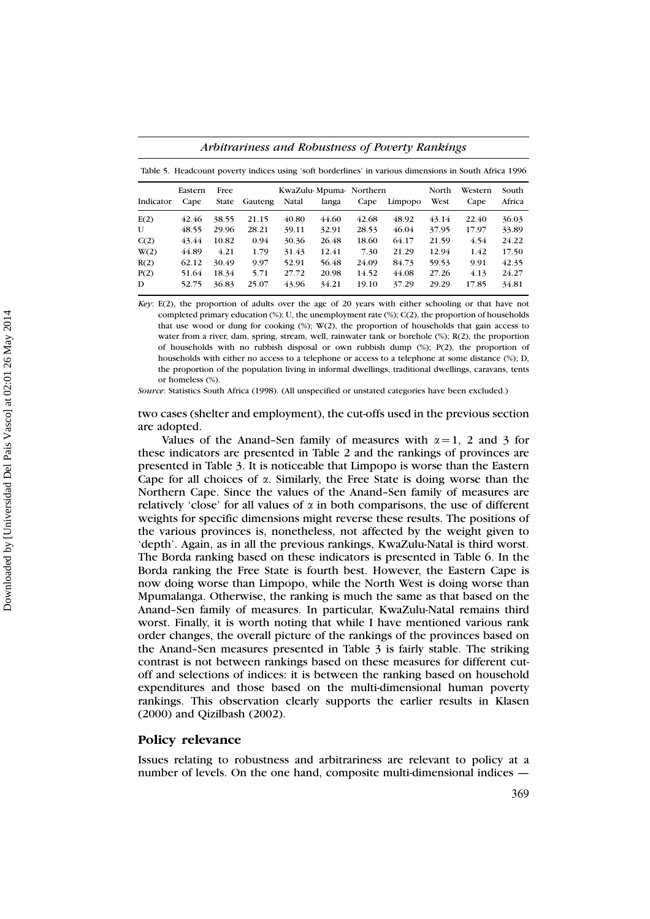|           | Eastern | Free         |         |       | KwaZulu-Mpuma-Northern |       |         | North | Western | South  |
|-----------|---------|--------------|---------|-------|------------------------|-------|---------|-------|---------|--------|
| Indicator | Cape    | <b>State</b> | Gauteng | Natal | langa                  | Cape  | Limpopo | West  | Cape    | Africa |
| E(2)      | 42.46   | 38.55        | 21.15   | 40.80 | 44.60                  | 42.68 | 48.92   | 43.14 | 22.40   | 36.03  |
| U         | 48.55   | 29.96        | 28.21   | 39.11 | 32.91                  | 28.53 | 46.04   | 37.95 | 17.97   | 33.89  |
| C(2)      | 43.44   | 10.82        | 0.94    | 30.36 | 26.48                  | 18.60 | 64.17   | 21.59 | 4.54    | 24.22  |
| W(2)      | 44.89   | 4.21         | 1.79    | 31.43 | 12.41                  | 7.30  | 21.29   | 12.94 | 1.42    | 17.50  |
| R(2)      | 62.12   | 30.49        | 9.97    | 52.91 | 56.48                  | 24.09 | 84.73   | 59.53 | 9.91    | 42.35  |
| P(2)      | 51.64   | 18.34        | 5.71    | 27.72 | 20.98                  | 14.52 | 44.08   | 27.26 | 4.13    | 24.27  |
| D         | 52.75   | 36.83        | 25.07   | 43.96 | 34.21                  | 19.10 | 37.29   | 29.29 | 17.85   | 34.81  |

*Arbitrariness and Robustness of Poverty Rankings*

*Key*: E(2), the proportion of adults over the age of 20 years with either schooling or that have not completed primary education (%); U, the unemployment rate (%); C(2), the proportion of households that use wood or dung for cooking (%); W(2), the proportion of households that gain access to water from a river, dam, spring, stream, well, rainwater tank or borehole (%); R(2), the proportion of households with no rubbish disposal or own rubbish dump (%); P(2), the proportion of households with either no access to a telephone or access to a telephone at some distance (%); D, the proportion of the population living in informal dwellings, traditional dwellings, caravans, tents or homeless (%).

*Source*: Statistics South Africa (1998). (All unspecified or unstated categories have been excluded.)

two cases (shelter and employment), the cut-offs used in the previous section are adopted.

Values of the Anand–Sen family of measures with  $\alpha = 1$ , 2 and 3 for these indicators are presented in Table 2 and the rankings of provinces are presented in Table 3. It is noticeable that Limpopo is worse than the Eastern Cape for all choices of  $\alpha$ . Similarly, the Free State is doing worse than the Northern Cape. Since the values of the Anand–Sen family of measures are relatively 'close' for all values of  $\alpha$  in both comparisons, the use of different weights for specific dimensions might reverse these results. The positions of the various provinces is, nonetheless, not affected by the weight given to 'depth'. Again, as in all the previous rankings, KwaZulu-Natal is third worst. The Borda ranking based on these indicators is presented in Table 6. In the Borda ranking the Free State is fourth best. However, the Eastern Cape is now doing worse than Limpopo, while the North West is doing worse than Mpumalanga. Otherwise, the ranking is much the same as that based on the Anand–Sen family of measures. In particular, KwaZulu-Natal remains third worst. Finally, it is worth noting that while I have mentioned various rank order changes, the overall picture of the rankings of the provinces based on the Anand–Sen measures presented in Table 3 is fairly stable. The striking contrast is not between rankings based on these measures for different cutoff and selections of indices: it is between the ranking based on household expenditures and those based on the multi-dimensional human poverty rankings. This observation clearly supports the earlier results in Klasen (2000) and Qizilbash (2002).

## **Policy relevance**

Issues relating to robustness and arbitrariness are relevant to policy at a number of levels. On the one hand, composite multi-dimensional indices —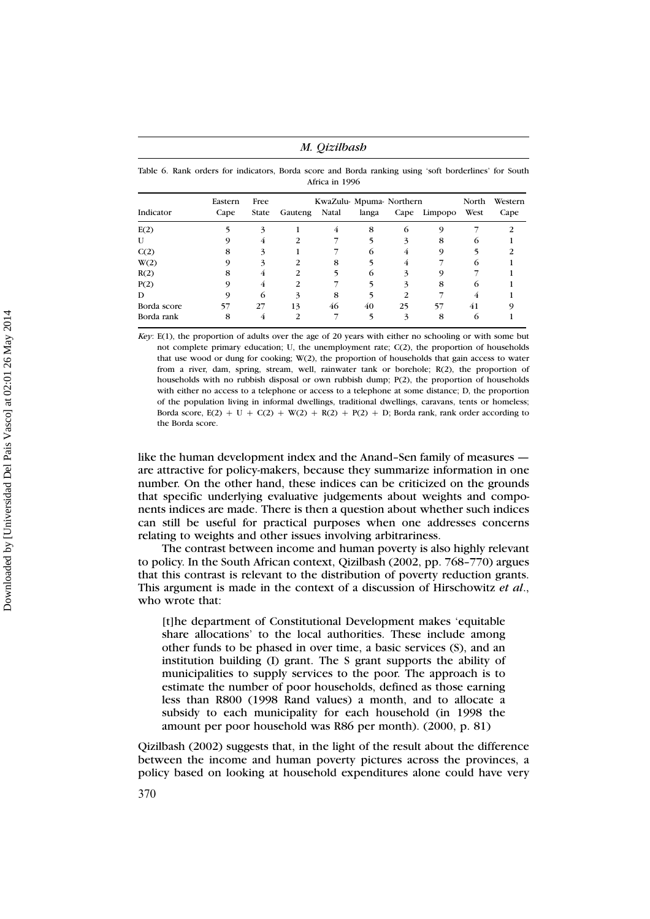*M. Qizilbash*

Table 6. Rank orders for indicators, Borda score and Borda ranking using 'soft borderlines' for South Africa in 1996

|             | Eastern | Free         | North   | Western |       |    |              |            |      |
|-------------|---------|--------------|---------|---------|-------|----|--------------|------------|------|
| Indicator   | Cape    | <b>State</b> | Gauteng | Natal   | langa |    | Cape Limpopo | West       | Cape |
| E(2)        |         | 3            |         | 4       | 8     | 6  |              |            |      |
| U           |         | 4            |         |         |       | 3  | 8            | $^{\circ}$ |      |
| C(2)        | 8       |              |         |         | 6     | 4  | 9            |            |      |
| W(2)        |         |              |         | 8       |       | 4  |              | 6          |      |
| R(2)        | 8       | 4            | 2       |         | 6     | 3  |              |            |      |
| P(2)        |         | 4            |         |         |       | 3  | 8            | 6          |      |
| D           |         | 6            | 3       | 8       |       |    |              |            |      |
| Borda score | 57      | 27           | 13      | 46      | 40    | 25 | 57           | 41         |      |
| Borda rank  | 8       | 4            |         |         |       |    | 8            |            |      |

*Key*: E(1), the proportion of adults over the age of 20 years with either no schooling or with some but not complete primary education; U, the unemployment rate;  $C(2)$ , the proportion of households that use wood or dung for cooking; W(2), the proportion of households that gain access to water from a river, dam, spring, stream, well, rainwater tank or borehole; R(2), the proportion of households with no rubbish disposal or own rubbish dump; P(2), the proportion of households with either no access to a telephone or access to a telephone at some distance; D, the proportion of the population living in informal dwellings, traditional dwellings, caravans, tents or homeless; Borda score,  $E(2) + U + C(2) + W(2) + R(2) + P(2) + D$ ; Borda rank, rank order according to the Borda score.

like the human development index and the Anand–Sen family of measures are attractive for policy-makers, because they summarize information in one number. On the other hand, these indices can be criticized on the grounds that specific underlying evaluative judgements about weights and components indices are made. There is then a question about whether such indices can still be useful for practical purposes when one addresses concerns relating to weights and other issues involving arbitrariness.

The contrast between income and human poverty is also highly relevant to policy. In the South African context, Qizilbash (2002, pp. 768–770) argues that this contrast is relevant to the distribution of poverty reduction grants. This argument is made in the context of a discussion of Hirschowitz *et al*., who wrote that:

[t]he department of Constitutional Development makes 'equitable share allocations' to the local authorities. These include among other funds to be phased in over time, a basic services (S), and an institution building (I) grant. The S grant supports the ability of municipalities to supply services to the poor. The approach is to estimate the number of poor households, defined as those earning less than R800 (1998 Rand values) a month, and to allocate a subsidy to each municipality for each household (in 1998 the amount per poor household was R86 per month). (2000, p. 81)

Qizilbash (2002) suggests that, in the light of the result about the difference between the income and human poverty pictures across the provinces, a policy based on looking at household expenditures alone could have very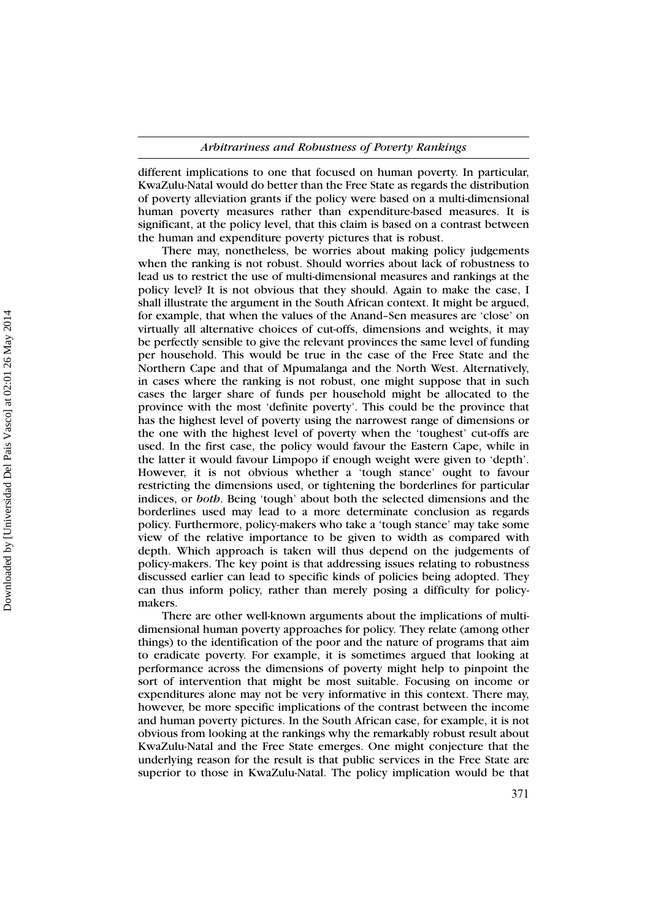different implications to one that focused on human poverty. In particular, KwaZulu-Natal would do better than the Free State as regards the distribution of poverty alleviation grants if the policy were based on a multi-dimensional human poverty measures rather than expenditure-based measures. It is significant, at the policy level, that this claim is based on a contrast between the human and expenditure poverty pictures that is robust.

There may, nonetheless, be worries about making policy judgements when the ranking is not robust. Should worries about lack of robustness to lead us to restrict the use of multi-dimensional measures and rankings at the policy level? It is not obvious that they should. Again to make the case, I shall illustrate the argument in the South African context. It might be argued, for example, that when the values of the Anand–Sen measures are 'close' on virtually all alternative choices of cut-offs, dimensions and weights, it may be perfectly sensible to give the relevant provinces the same level of funding per household. This would be true in the case of the Free State and the Northern Cape and that of Mpumalanga and the North West. Alternatively, in cases where the ranking is not robust, one might suppose that in such cases the larger share of funds per household might be allocated to the province with the most 'definite poverty'. This could be the province that has the highest level of poverty using the narrowest range of dimensions or the one with the highest level of poverty when the 'toughest' cut-offs are used. In the first case, the policy would favour the Eastern Cape, while in the latter it would favour Limpopo if enough weight were given to 'depth'. However, it is not obvious whether a 'tough stance' ought to favour restricting the dimensions used, or tightening the borderlines for particular indices, or *both*. Being 'tough' about both the selected dimensions and the borderlines used may lead to a more determinate conclusion as regards policy. Furthermore, policy-makers who take a 'tough stance' may take some view of the relative importance to be given to width as compared with depth. Which approach is taken will thus depend on the judgements of policy-makers. The key point is that addressing issues relating to robustness discussed earlier can lead to specific kinds of policies being adopted. They can thus inform policy, rather than merely posing a difficulty for policymakers.

There are other well-known arguments about the implications of multidimensional human poverty approaches for policy. They relate (among other things) to the identification of the poor and the nature of programs that aim to eradicate poverty. For example, it is sometimes argued that looking at performance across the dimensions of poverty might help to pinpoint the sort of intervention that might be most suitable. Focusing on income or expenditures alone may not be very informative in this context. There may, however, be more specific implications of the contrast between the income and human poverty pictures. In the South African case, for example, it is not obvious from looking at the rankings why the remarkably robust result about KwaZulu-Natal and the Free State emerges. One might conjecture that the underlying reason for the result is that public services in the Free State are superior to those in KwaZulu-Natal. The policy implication would be that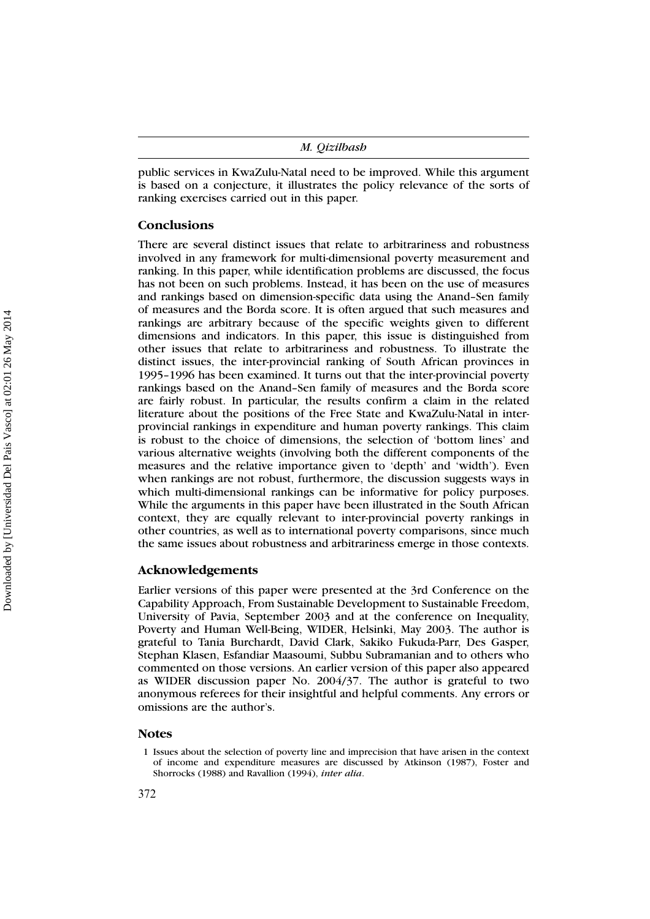public services in KwaZulu-Natal need to be improved. While this argument is based on a conjecture, it illustrates the policy relevance of the sorts of ranking exercises carried out in this paper.

### **Conclusions**

There are several distinct issues that relate to arbitrariness and robustness involved in any framework for multi-dimensional poverty measurement and ranking. In this paper, while identification problems are discussed, the focus has not been on such problems. Instead, it has been on the use of measures and rankings based on dimension-specific data using the Anand–Sen family of measures and the Borda score. It is often argued that such measures and rankings are arbitrary because of the specific weights given to different dimensions and indicators. In this paper, this issue is distinguished from other issues that relate to arbitrariness and robustness. To illustrate the distinct issues, the inter-provincial ranking of South African provinces in 1995–1996 has been examined. It turns out that the inter-provincial poverty rankings based on the Anand–Sen family of measures and the Borda score are fairly robust. In particular, the results confirm a claim in the related literature about the positions of the Free State and KwaZulu-Natal in interprovincial rankings in expenditure and human poverty rankings. This claim is robust to the choice of dimensions, the selection of 'bottom lines' and various alternative weights (involving both the different components of the measures and the relative importance given to 'depth' and 'width'). Even when rankings are not robust, furthermore, the discussion suggests ways in which multi-dimensional rankings can be informative for policy purposes. While the arguments in this paper have been illustrated in the South African context, they are equally relevant to inter-provincial poverty rankings in other countries, as well as to international poverty comparisons, since much the same issues about robustness and arbitrariness emerge in those contexts.

## **Acknowledgements**

Earlier versions of this paper were presented at the 3rd Conference on the Capability Approach, From Sustainable Development to Sustainable Freedom, University of Pavia, September 2003 and at the conference on Inequality, Poverty and Human Well-Being, WIDER, Helsinki, May 2003. The author is grateful to Tania Burchardt, David Clark, Sakiko Fukuda-Parr, Des Gasper, Stephan Klasen, Esfandiar Maasoumi, Subbu Subramanian and to others who commented on those versions. An earlier version of this paper also appeared as WIDER discussion paper No. 2004/37. The author is grateful to two anonymous referees for their insightful and helpful comments. Any errors or omissions are the author's.

#### **Notes**

<sup>1</sup> Issues about the selection of poverty line and imprecision that have arisen in the context of income and expenditure measures are discussed by Atkinson (1987), Foster and Shorrocks (1988) and Ravallion (1994), *inter alia*.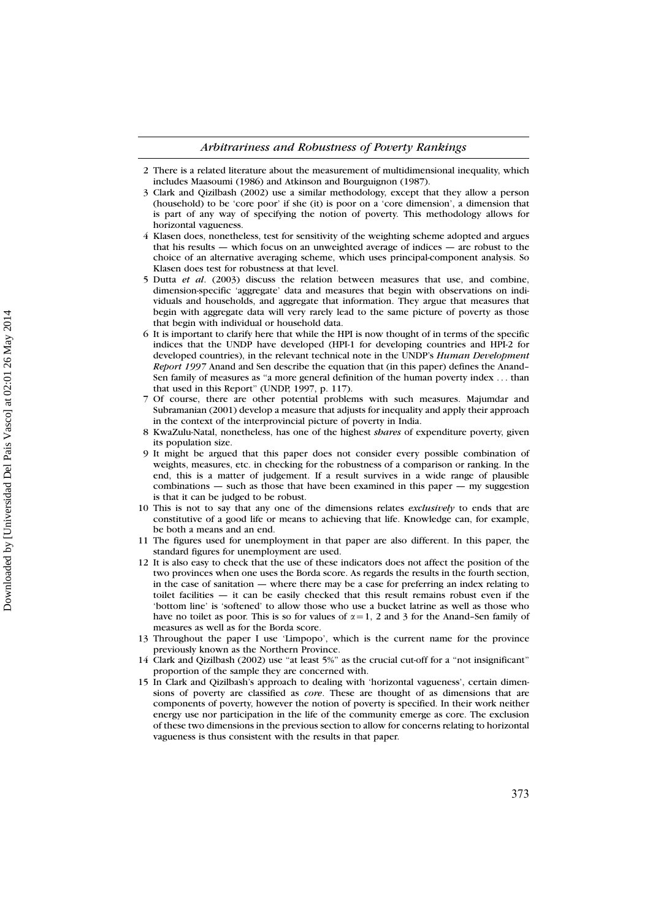- 3 Clark and Qizilbash (2002) use a similar methodology, except that they allow a person (household) to be 'core poor' if she (it) is poor on a 'core dimension', a dimension that is part of any way of specifying the notion of poverty. This methodology allows for horizontal vagueness.
- 4 Klasen does, nonetheless, test for sensitivity of the weighting scheme adopted and argues that his results — which focus on an unweighted average of indices — are robust to the choice of an alternative averaging scheme, which uses principal-component analysis. So Klasen does test for robustness at that level.
- 5 Dutta *et al*. (2003) discuss the relation between measures that use, and combine, dimension-specific 'aggregate' data and measures that begin with observations on individuals and households, and aggregate that information. They argue that measures that begin with aggregate data will very rarely lead to the same picture of poverty as those that begin with individual or household data.
- 6 It is important to clarify here that while the HPI is now thought of in terms of the specific indices that the UNDP have developed (HPI-1 for developing countries and HPI-2 for developed countries), in the relevant technical note in the UNDP's *Human Development Report 1997* Anand and Sen describe the equation that (in this paper) defines the Anand– Sen family of measures as "a more general definition of the human poverty index ... than that used in this Report'' (UNDP, 1997, p. 117).
- 7 Of course, there are other potential problems with such measures. Majumdar and Subramanian (2001) develop a measure that adjusts for inequality and apply their approach in the context of the interprovincial picture of poverty in India.
- 8 KwaZulu-Natal, nonetheless, has one of the highest *shares* of expenditure poverty, given its population size.
- 9 It might be argued that this paper does not consider every possible combination of weights, measures, etc. in checking for the robustness of a comparison or ranking. In the end, this is a matter of judgement. If a result survives in a wide range of plausible combinations  $-$  such as those that have been examined in this paper  $-$  my suggestion is that it can be judged to be robust.
- 10 This is not to say that any one of the dimensions relates *exclusively* to ends that are constitutive of a good life or means to achieving that life. Knowledge can, for example, be both a means and an end.
- 11 The figures used for unemployment in that paper are also different. In this paper, the standard figures for unemployment are used.
- 12 It is also easy to check that the use of these indicators does not affect the position of the two provinces when one uses the Borda score. As regards the results in the fourth section, in the case of sanitation — where there may be a case for preferring an index relating to toilet facilities — it can be easily checked that this result remains robust even if the 'bottom line' is 'softened' to allow those who use a bucket latrine as well as those who have no toilet as poor. This is so for values of  $\alpha = 1$ , 2 and 3 for the Anand–Sen family of measures as well as for the Borda score.
- 13 Throughout the paper I use 'Limpopo', which is the current name for the province previously known as the Northern Province.
- 14 Clark and Qizilbash (2002) use ''at least 5%'' as the crucial cut-off for a ''not insignificant'' proportion of the sample they are concerned with.
- 15 In Clark and Qizilbash's approach to dealing with 'horizontal vagueness', certain dimensions of poverty are classified as *core*. These are thought of as dimensions that are components of poverty, however the notion of poverty is specified. In their work neither energy use nor participation in the life of the community emerge as core. The exclusion of these two dimensions in the previous section to allow for concerns relating to horizontal vagueness is thus consistent with the results in that paper.

<sup>2</sup> There is a related literature about the measurement of multidimensional inequality, which includes Maasoumi (1986) and Atkinson and Bourguignon (1987).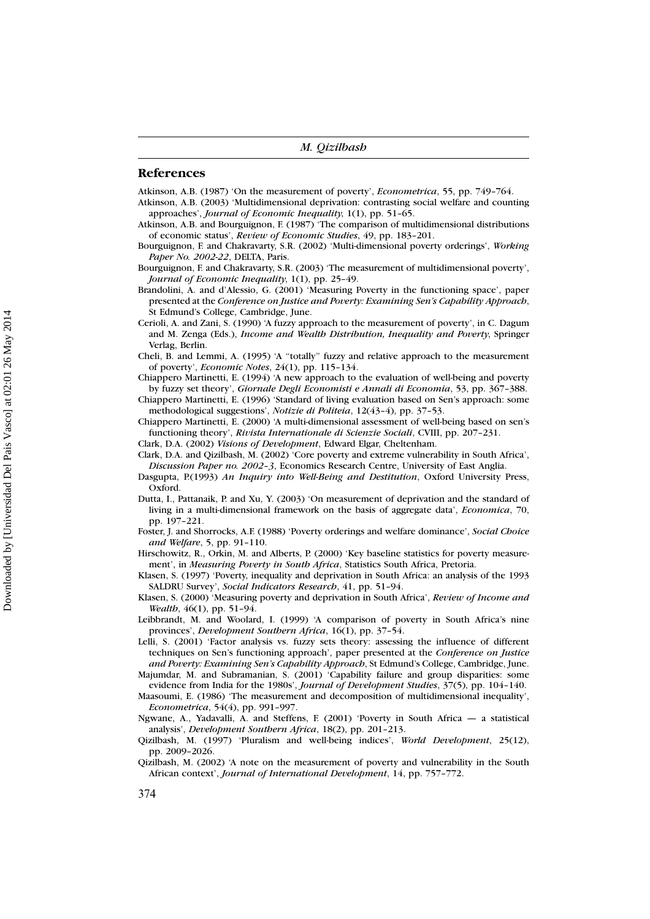#### **References**

Atkinson, A.B. (1987) 'On the measurement of poverty', *Econometrica*, 55, pp. 749–764.

- Atkinson, A.B. (2003) 'Multidimensional deprivation: contrasting social welfare and counting
- approaches', *Journal of Economic Inequality*, 1(1), pp. 51–65. Atkinson, A.B. and Bourguignon, F. (1987) 'The comparison of multidimensional distributions of economic status', *Review of Economic Studies*, 49, pp. 183–201.
- Bourguignon, F. and Chakravarty, S.R. (2002) 'Multi-dimensional poverty orderings', *Working Paper No. 2002-22*, DELTA, Paris.
- Bourguignon, F. and Chakravarty, S.R. (2003) 'The measurement of multidimensional poverty', *Journal of Economic Inequality*, 1(1), pp. 25–49.
- Brandolini, A. and d'Alessio, G. (2001) 'Measuring Poverty in the functioning space', paper presented at the *Conference on Justice and Poverty: Examining Sen's Capability Approach*, St Edmund's College, Cambridge, June.
- Cerioli, A. and Zani, S. (1990) 'A fuzzy approach to the measurement of poverty', in C. Dagum and M. Zenga (Eds.), *Income and Wealth Distribution, Inequality and Poverty*, Springer Verlag, Berlin.
- Cheli, B. and Lemmi, A. (1995) 'A ''totally'' fuzzy and relative approach to the measurement of poverty', *Economic Notes*, 24(1), pp. 115–134.
- Chiappero Martinetti, E. (1994) 'A new approach to the evaluation of well-being and poverty by fuzzy set theory', *Giornale Degli Economisti e Annali di Economia*, 53, pp. 367–388.
- Chiappero Martinetti, E. (1996) 'Standard of living evaluation based on Sen's approach: some methodological suggestions', *Notizie di Politeia*, 12(43–4), pp. 37–53.
- Chiappero Martinetti, E. (2000) 'A multi-dimensional assessment of well-being based on sen's functioning theory', *Rivista Internationale di Scienzie Sociali*, CVIII, pp. 207–231.
- Clark, D.A. (2002) *Visions of Development*, Edward Elgar, Cheltenham.
- Clark, D.A. and Qizilbash, M. (2002) 'Core poverty and extreme vulnerability in South Africa', *Discussion Paper no. 2002–3*, Economics Research Centre, University of East Anglia.
- Dasgupta, P.(1993) *An Inquiry into Well-Being and Destitution*, Oxford University Press, Oxford.
- Dutta, I., Pattanaik, P. and Xu, Y. (2003) 'On measurement of deprivation and the standard of living in a multi-dimensional framework on the basis of aggregate data', *Economica*, 70, pp. 197–221.
- Foster, J. and Shorrocks, A.F. (1988) 'Poverty orderings and welfare dominance', *Social Choice and Welfare*, 5, pp. 91–110.
- Hirschowitz, R., Orkin, M. and Alberts, P. (2000) 'Key baseline statistics for poverty measurement', in *Measuring Poverty in South Africa*, Statistics South Africa, Pretoria.
- Klasen, S. (1997) 'Poverty, inequality and deprivation in South Africa: an analysis of the 1993 SALDRU Survey', *Social Indicators Research*, 41, pp. 51–94.
- Klasen, S. (2000) 'Measuring poverty and deprivation in South Africa', *Review of Income and Wealth*, 46(1), pp. 51–94.
- Leibbrandt, M. and Woolard, I. (1999) 'A comparison of poverty in South Africa's nine provinces', *Development Southern Africa*, 16(1), pp. 37–54.
- Lelli, S. (2001) 'Factor analysis vs. fuzzy sets theory: assessing the influence of different techniques on Sen's functioning approach', paper presented at the *Conference on Justice and Poverty: Examining Sen's Capability Approach*, St Edmund's College, Cambridge, June.

Majumdar, M. and Subramanian, S. (2001) 'Capability failure and group disparities: some evidence from India for the 1980s', *Journal of Development Studies*, 37(5), pp. 104–140.

Maasoumi, E. (1986) 'The measurement and decomposition of multidimensional inequality', *Econometrica*, 54(4), pp. 991–997.

Ngwane, A., Yadavalli, A. and Steffens, F. (2001) 'Poverty in South Africa — a statistical analysis', *Development Southern Africa*, 18(2), pp. 201–213.

Qizilbash, M. (1997) 'Pluralism and well-being indices', *World Development*, 25(12), pp. 2009–2026.

Qizilbash, M. (2002) 'A note on the measurement of poverty and vulnerability in the South African context', *Journal of International Development*, 14, pp. 757–772.